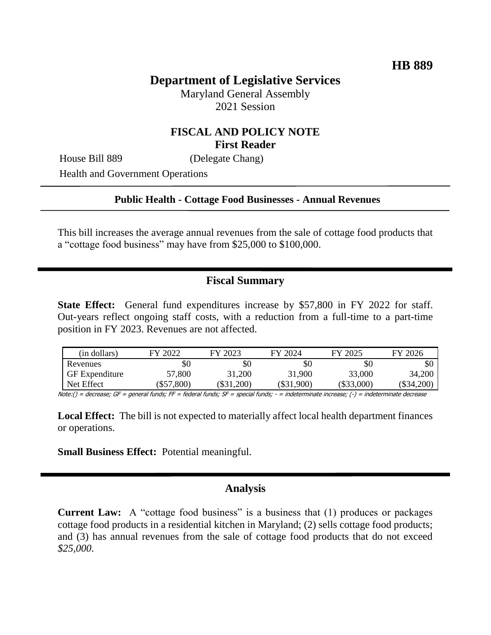# **Department of Legislative Services**

Maryland General Assembly 2021 Session

### **FISCAL AND POLICY NOTE First Reader**

House Bill 889 (Delegate Chang)

Health and Government Operations

#### **Public Health - Cottage Food Businesses - Annual Revenues**

This bill increases the average annual revenues from the sale of cottage food products that a "cottage food business" may have from \$25,000 to \$100,000.

### **Fiscal Summary**

**State Effect:** General fund expenditures increase by \$57,800 in FY 2022 for staff. Out-years reflect ongoing staff costs, with a reduction from a full-time to a part-time position in FY 2023. Revenues are not affected.

| (in dollars)          | FY 2022  | FY 2023     | FY 2024  | FY 2025      | FY 2026    |
|-----------------------|----------|-------------|----------|--------------|------------|
| Revenues              | \$0      | \$0         | \$0      | \$0          | \$0        |
| <b>GF</b> Expenditure | 57,800   | 31,200      | 31,900   | 33,000       | 34,200     |
| Net Effect            | \$57,800 | $\$31,200)$ | \$31,900 | $(\$33,000)$ | (\$34,200) |

Note:() = decrease; GF = general funds; FF = federal funds; SF = special funds; - = indeterminate increase; (-) = indeterminate decrease

**Local Effect:** The bill is not expected to materially affect local health department finances or operations.

**Small Business Effect:** Potential meaningful.

### **Analysis**

**Current Law:** A "cottage food business" is a business that (1) produces or packages cottage food products in a residential kitchen in Maryland; (2) sells cottage food products; and (3) has annual revenues from the sale of cottage food products that do not exceed *\$25,000*.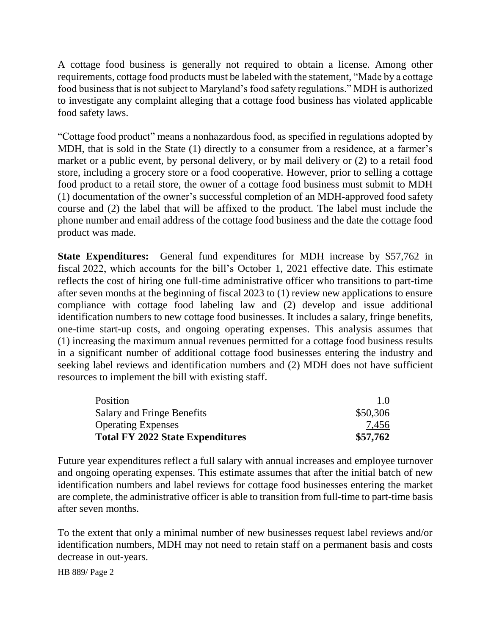A cottage food business is generally not required to obtain a license. Among other requirements, cottage food products must be labeled with the statement, "Made by a cottage food business that is not subject to Maryland's food safety regulations." MDH is authorized to investigate any complaint alleging that a cottage food business has violated applicable food safety laws.

"Cottage food product" means a nonhazardous food, as specified in regulations adopted by MDH, that is sold in the State (1) directly to a consumer from a residence, at a farmer's market or a public event, by personal delivery, or by mail delivery or (2) to a retail food store, including a grocery store or a food cooperative. However, prior to selling a cottage food product to a retail store, the owner of a cottage food business must submit to MDH (1) documentation of the owner's successful completion of an MDH-approved food safety course and (2) the label that will be affixed to the product. The label must include the phone number and email address of the cottage food business and the date the cottage food product was made.

**State Expenditures:** General fund expenditures for MDH increase by \$57,762 in fiscal 2022, which accounts for the bill's October 1, 2021 effective date. This estimate reflects the cost of hiring one full-time administrative officer who transitions to part-time after seven months at the beginning of fiscal 2023 to (1) review new applications to ensure compliance with cottage food labeling law and (2) develop and issue additional identification numbers to new cottage food businesses. It includes a salary, fringe benefits, one-time start-up costs, and ongoing operating expenses. This analysis assumes that (1) increasing the maximum annual revenues permitted for a cottage food business results in a significant number of additional cottage food businesses entering the industry and seeking label reviews and identification numbers and (2) MDH does not have sufficient resources to implement the bill with existing staff.

| Position                                | 1.0      |
|-----------------------------------------|----------|
| Salary and Fringe Benefits              | \$50,306 |
| <b>Operating Expenses</b>               | 7,456    |
| <b>Total FY 2022 State Expenditures</b> | \$57,762 |

Future year expenditures reflect a full salary with annual increases and employee turnover and ongoing operating expenses. This estimate assumes that after the initial batch of new identification numbers and label reviews for cottage food businesses entering the market are complete, the administrative officer is able to transition from full-time to part-time basis after seven months.

To the extent that only a minimal number of new businesses request label reviews and/or identification numbers, MDH may not need to retain staff on a permanent basis and costs decrease in out-years.

HB 889/ Page 2